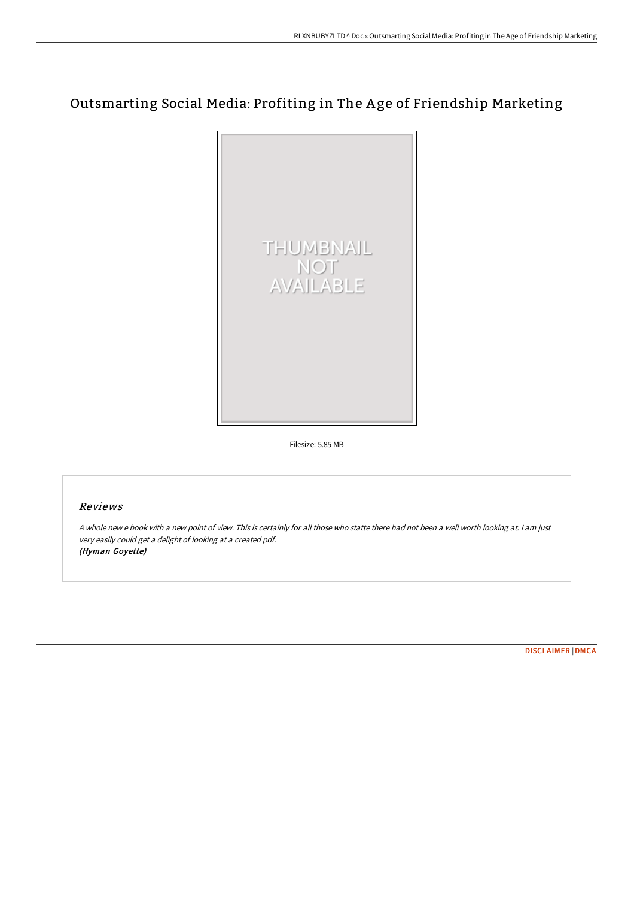# Outsmarting Social Media: Profiting in The A ge of Friendship Marketing



Filesize: 5.85 MB

## Reviews

<sup>A</sup> whole new <sup>e</sup> book with <sup>a</sup> new point of view. This is certainly for all those who statte there had not been <sup>a</sup> well worth looking at. <sup>I</sup> am just very easily could get <sup>a</sup> delight of looking at <sup>a</sup> created pdf. (Hyman Goyette)

[DISCLAIMER](http://bookera.tech/disclaimer.html) | [DMCA](http://bookera.tech/dmca.html)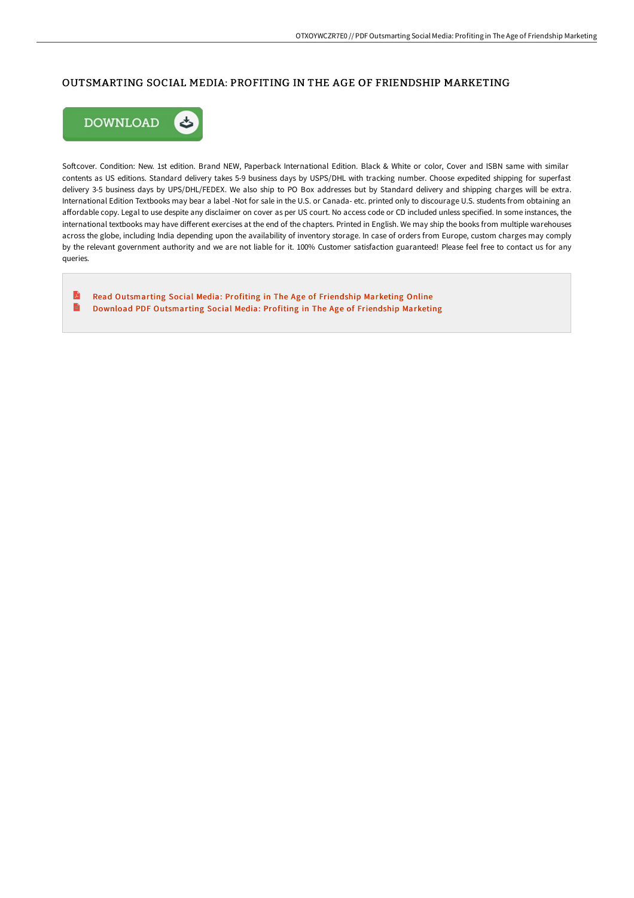# OUTSMARTING SOCIAL MEDIA: PROFITING IN THE AGE OF FRIENDSHIP MARKETING



Softcover. Condition: New. 1st edition. Brand NEW, Paperback International Edition. Black & White or color, Cover and ISBN same with similar contents as US editions. Standard delivery takes 5-9 business days by USPS/DHL with tracking number. Choose expedited shipping for superfast delivery 3-5 business days by UPS/DHL/FEDEX. We also ship to PO Box addresses but by Standard delivery and shipping charges will be extra. International Edition Textbooks may bear a label -Not for sale in the U.S. or Canada- etc. printed only to discourage U.S. students from obtaining an affordable copy. Legal to use despite any disclaimer on cover as per US court. No access code or CD included unless specified. In some instances, the international textbooks may have different exercises at the end of the chapters. Printed in English. We may ship the books from multiple warehouses across the globe, including India depending upon the availability of inventory storage. In case of orders from Europe, custom charges may comply by the relevant government authority and we are not liable for it. 100% Customer satisfaction guaranteed! Please feel free to contact us for any queries.

E Read [Outsmarting](http://bookera.tech/outsmarting-social-media-profiting-in-the-age-of-1.html) Social Media: Profiting in The Age of Friendship Marketing Online  $\blacksquare$ Download PDF [Outsmarting](http://bookera.tech/outsmarting-social-media-profiting-in-the-age-of-1.html) Social Media: Profiting in The Age of Friendship Marketing